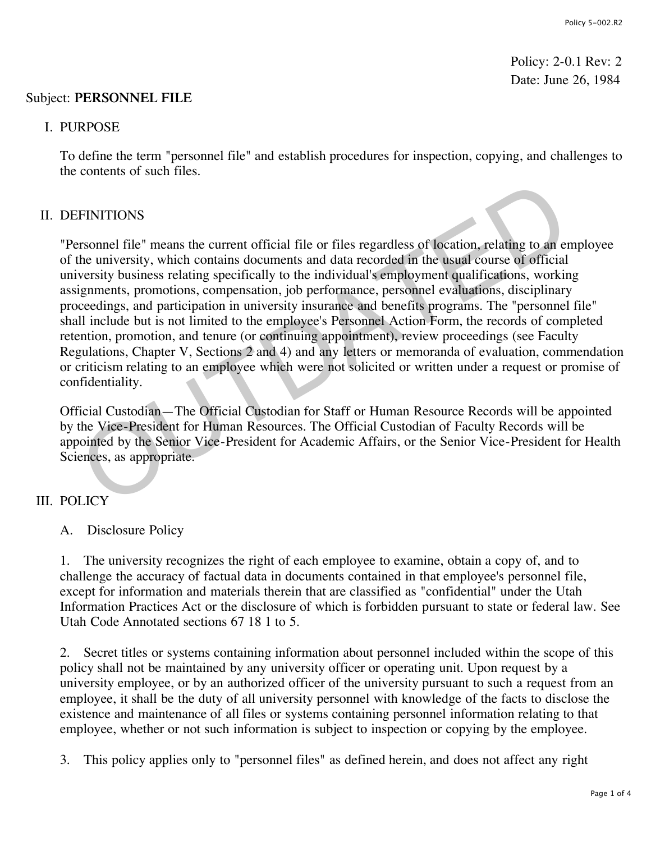Policy: 2-0.1 Rev: 2 Date: June 26, 1984

#### Subject: **PERSONNEL FILE**

#### I. PURPOSE

To define the term "personnel file" and establish procedures for inspection, copying, and challenges to the contents of such files.

## II. DEFINITIONS

"Personnel file" means the current official file or files regardless of location, relating to an employee of the university, which contains documents and data recorded in the usual course of official university business relating specifically to the individual's employment qualifications, working assignments, promotions, compensation, job performance, personnel evaluations, disciplinary proceedings, and participation in university insurance and benefits programs. The "personnel file" shall include but is not limited to the employee's Personnel Action Form, the records of completed retention, promotion, and tenure (or continuing appointment), review proceedings (see Faculty Regulations, Chapter V, Sections 2 and 4) and any letters or memoranda of evaluation, commendation or criticism relating to an employee which were not solicited or written under a request or promise of confidentiality. FINITIONS<br>
FINITIONS<br>
FINITIONS<br>
FINITIONS<br>
FINITIONS<br>
FINITIONS<br>
FORD THE UNITIONS<br>
FORD THE UNITIONS<br>
FORD THE UNITIONS<br>
FORD THE UNITIONS<br>
CONDITIONS COMPOSITIONS (ORD DET USE ON THE USE OF OTECTIONS, ANCIPED<br>
FINITIONS

Official Custodian—The Official Custodian for Staff or Human Resource Records will be appointed by the Vice-President for Human Resources. The Official Custodian of Faculty Records will be appointed by the Senior Vice-President for Academic Affairs, or the Senior Vice-President for Health Sciences, as appropriate.

## III. POLICY

A. Disclosure Policy

1. The university recognizes the right of each employee to examine, obtain a copy of, and to challenge the accuracy of factual data in documents contained in that employee's personnel file, except for information and materials therein that are classified as "confidential" under the Utah Information Practices Act or the disclosure of which is forbidden pursuant to state or federal law. See Utah Code Annotated sections 67 18 1 to 5.

2. Secret titles or systems containing information about personnel included within the scope of this policy shall not be maintained by any university officer or operating unit. Upon request by a university employee, or by an authorized officer of the university pursuant to such a request from an employee, it shall be the duty of all university personnel with knowledge of the facts to disclose the existence and maintenance of all files or systems containing personnel information relating to that employee, whether or not such information is subject to inspection or copying by the employee.

3. This policy applies only to "personnel files" as defined herein, and does not affect any right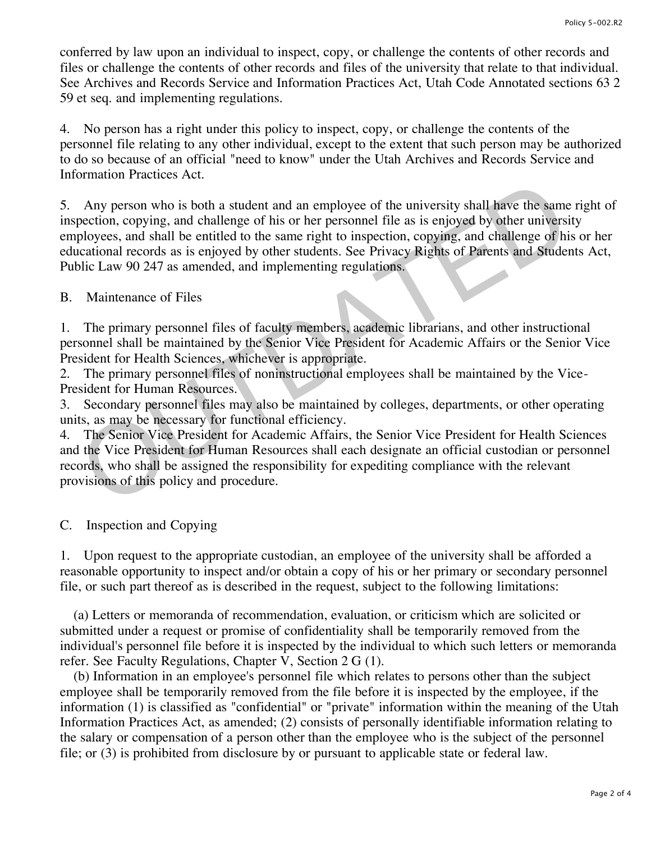conferred by law upon an individual to inspect, copy, or challenge the contents of other records and files or challenge the contents of other records and files of the university that relate to that individual. See Archives and Records Service and Information Practices Act, Utah Code Annotated sections 63 2 59 et seq. and implementing regulations.

4. No person has a right under this policy to inspect, copy, or challenge the contents of the personnel file relating to any other individual, except to the extent that such person may be authorized to do so because of an official "need to know" under the Utah Archives and Records Service and Information Practices Act.

5. Any person who is both a student and an employee of the university shall have the same right of inspection, copying, and challenge of his or her personnel file as is enjoyed by other university employees, and shall be entitled to the same right to inspection, copying, and challenge of his or her educational records as is enjoyed by other students. See Privacy Rights of Parents and Students Act, Public Law 90 247 as amended, and implementing regulations. Any person who is both a student and an employee of the university shall have the same<br>pection, copying, and challenge of his or her personnel file as is enjoyed by other universi<br>ployees, and shall be entitled to the same

## B. Maintenance of Files

1. The primary personnel files of faculty members, academic librarians, and other instructional personnel shall be maintained by the Senior Vice President for Academic Affairs or the Senior Vice President for Health Sciences, whichever is appropriate.

2. The primary personnel files of noninstructional employees shall be maintained by the Vice-President for Human Resources.

3. Secondary personnel files may also be maintained by colleges, departments, or other operating units, as may be necessary for functional efficiency.

4. The Senior Vice President for Academic Affairs, the Senior Vice President for Health Sciences and the Vice President for Human Resources shall each designate an official custodian or personnel records, who shall be assigned the responsibility for expediting compliance with the relevant provisions of this policy and procedure.

C. Inspection and Copying

1. Upon request to the appropriate custodian, an employee of the university shall be afforded a reasonable opportunity to inspect and/or obtain a copy of his or her primary or secondary personnel file, or such part thereof as is described in the request, subject to the following limitations:

 (a) Letters or memoranda of recommendation, evaluation, or criticism which are solicited or submitted under a request or promise of confidentiality shall be temporarily removed from the individual's personnel file before it is inspected by the individual to which such letters or memoranda refer. See Faculty Regulations, Chapter V, Section 2 G (1).

 (b) Information in an employee's personnel file which relates to persons other than the subject employee shall be temporarily removed from the file before it is inspected by the employee, if the information (1) is classified as "confidential" or "private" information within the meaning of the Utah Information Practices Act, as amended; (2) consists of personally identifiable information relating to the salary or compensation of a person other than the employee who is the subject of the personnel file; or (3) is prohibited from disclosure by or pursuant to applicable state or federal law.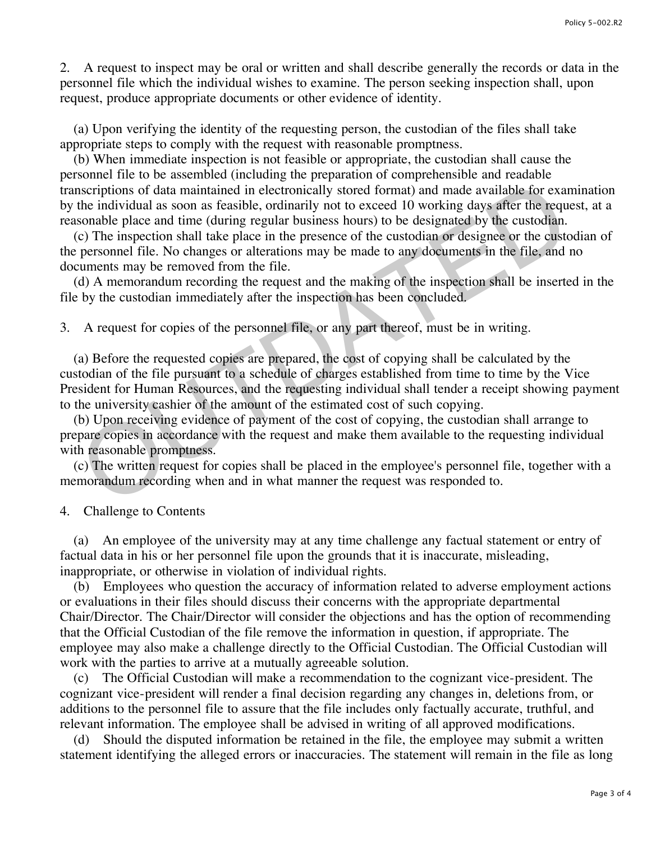2. A request to inspect may be oral or written and shall describe generally the records or data in the personnel file which the individual wishes to examine. The person seeking inspection shall, upon request, produce appropriate documents or other evidence of identity.

 (a) Upon verifying the identity of the requesting person, the custodian of the files shall take appropriate steps to comply with the request with reasonable promptness.

 (b) When immediate inspection is not feasible or appropriate, the custodian shall cause the personnel file to be assembled (including the preparation of comprehensible and readable transcriptions of data maintained in electronically stored format) and made available for examination by the individual as soon as feasible, ordinarily not to exceed 10 working days after the request, at a reasonable place and time (during regular business hours) to be designated by the custodian.

 (c) The inspection shall take place in the presence of the custodian or designee or the custodian of the personnel file. No changes or alterations may be made to any documents in the file, and no documents may be removed from the file.

 (d) A memorandum recording the request and the making of the inspection shall be inserted in the file by the custodian immediately after the inspection has been concluded.

3. A request for copies of the personnel file, or any part thereof, must be in writing.

 (a) Before the requested copies are prepared, the cost of copying shall be calculated by the custodian of the file pursuant to a schedule of charges established from time to time by the Vice President for Human Resources, and the requesting individual shall tender a receipt showing payment to the university cashier of the amount of the estimated cost of such copying. iscriptions of data maintained in electronically stored format) and made available for example the individual as soon as feasible, ordinarily not to exceed 10 working days affer the request of considered by the custodian.<br>

 (b) Upon receiving evidence of payment of the cost of copying, the custodian shall arrange to prepare copies in accordance with the request and make them available to the requesting individual with reasonable promptness.

 (c) The written request for copies shall be placed in the employee's personnel file, together with a memorandum recording when and in what manner the request was responded to.

4. Challenge to Contents

 (a) An employee of the university may at any time challenge any factual statement or entry of factual data in his or her personnel file upon the grounds that it is inaccurate, misleading, inappropriate, or otherwise in violation of individual rights.

 (b) Employees who question the accuracy of information related to adverse employment actions or evaluations in their files should discuss their concerns with the appropriate departmental Chair/Director. The Chair/Director will consider the objections and has the option of recommending that the Official Custodian of the file remove the information in question, if appropriate. The employee may also make a challenge directly to the Official Custodian. The Official Custodian will work with the parties to arrive at a mutually agreeable solution.

 (c) The Official Custodian will make a recommendation to the cognizant vice-president. The cognizant vice-president will render a final decision regarding any changes in, deletions from, or additions to the personnel file to assure that the file includes only factually accurate, truthful, and relevant information. The employee shall be advised in writing of all approved modifications.

 (d) Should the disputed information be retained in the file, the employee may submit a written statement identifying the alleged errors or inaccuracies. The statement will remain in the file as long